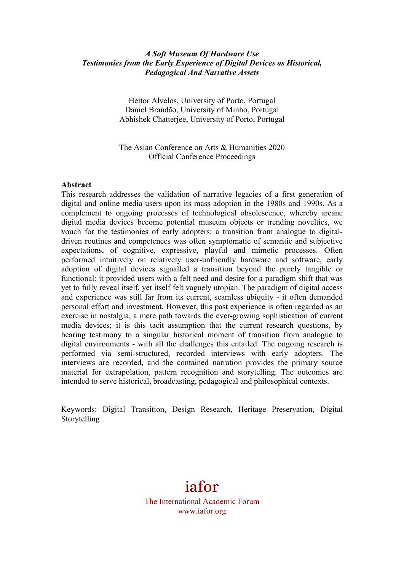### *A Soft Museum Of Hardware Use Testimonies from the Early Experience of Digital Devices as Historical, Pedagogical And Narrative Assets*

Heitor Alvelos, University of Porto, Portugal Daniel Brandão, University of Minho, Portugal Abhishek Chatterjee, University of Porto, Portugal

The Asian Conference on Arts & Humanities 2020 Official Conference Proceedings

#### **Abstract**

This research addresses the validation of narrative legacies of a first generation of digital and online media users upon its mass adoption in the 1980s and 1990s. As a complement to ongoing processes of technological obsolescence, whereby arcane digital media devices become potential museum objects or trending novelties, we vouch for the testimonies of early adopters: a transition from analogue to digitaldriven routines and competences was often symptomatic of semantic and subjective expectations, of cognitive, expressive, playful and mimetic processes. Often performed intuitively on relatively user-unfriendly hardware and software, early adoption of digital devices signalled a transition beyond the purely tangible or functional: it provided users with a felt need and desire for a paradigm shift that was yet to fully reveal itself, yet itself felt vaguely utopian. The paradigm of digital access and experience was still far from its current, seamless ubiquity - it often demanded personal effort and investment. However, this past experience is often regarded as an exercise in nostalgia, a mere path towards the ever-growing sophistication of current media devices; it is this tacit assumption that the current research questions, by bearing testimony to a singular historical moment of transition from analogue to digital environments - with all the challenges this entailed. The ongoing research is performed via semi-structured, recorded interviews with early adopters. The interviews are recorded, and the contained narration provides the primary source material for extrapolation, pattern recognition and storytelling. The outcomes are intended to serve historical, broadcasting, pedagogical and philosophical contexts.

Keywords: Digital Transition, Design Research, Heritage Preservation, Digital Storytelling

# iafor The International Academic Forum www.iafor.org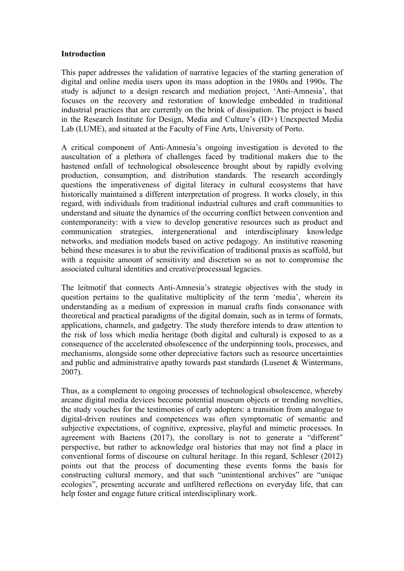#### **Introduction**

This paper addresses the validation of narrative legacies of the starting generation of digital and online media users upon its mass adoption in the 1980s and 1990s. The study is adjunct to a design research and mediation project, 'Anti-Amnesia', that focuses on the recovery and restoration of knowledge embedded in traditional industrial practices that are currently on the brink of dissipation. The project is based in the Research Institute for Design, Media and Culture's (ID+) Unexpected Media Lab (LUME), and situated at the Faculty of Fine Arts, University of Porto.

A critical component of Anti-Amnesia's ongoing investigation is devoted to the auscultation of a plethora of challenges faced by traditional makers due to the hastened onfall of technological obsolescence brought about by rapidly evolving production, consumption, and distribution standards. The research accordingly questions the imperativeness of digital literacy in cultural ecosystems that have historically maintained a different interpretation of progress. It works closely, in this regard, with individuals from traditional industrial cultures and craft communities to understand and situate the dynamics of the occurring conflict between convention and contemporaneity: with a view to develop generative resources such as product and communication strategies, intergenerational and interdisciplinary knowledge networks, and mediation models based on active pedagogy. An institutive reasoning behind these measures is to abut the revivification of traditional praxis as scaffold, but with a requisite amount of sensitivity and discretion so as not to compromise the associated cultural identities and creative/processual legacies.

The leitmotif that connects Anti-Amnesia's strategic objectives with the study in question pertains to the qualitative multiplicity of the term 'media', wherein its understanding as a medium of expression in manual crafts finds consonance with theoretical and practical paradigms of the digital domain, such as in terms of formats, applications, channels, and gadgetry. The study therefore intends to draw attention to the risk of loss which media heritage (both digital and cultural) is exposed to as a consequence of the accelerated obsolescence of the underpinning tools, processes, and mechanisms, alongside some other depreciative factors such as resource uncertainties and public and administrative apathy towards past standards (Lusenet & Wintermans, 2007).

Thus, as a complement to ongoing processes of technological obsolescence, whereby arcane digital media devices become potential museum objects or trending novelties, the study vouches for the testimonies of early adopters: a transition from analogue to digital-driven routines and competences was often symptomatic of semantic and subjective expectations, of cognitive, expressive, playful and mimetic processes. In agreement with Baetens (2017), the corollary is not to generate a "different" perspective, but rather to acknowledge oral histories that may not find a place in conventional forms of discourse on cultural heritage. In this regard, Schleser (2012) points out that the process of documenting these events forms the basis for constructing cultural memory, and that such "unintentional archives" are "unique ecologies", presenting accurate and unfiltered reflections on everyday life, that can help foster and engage future critical interdisciplinary work.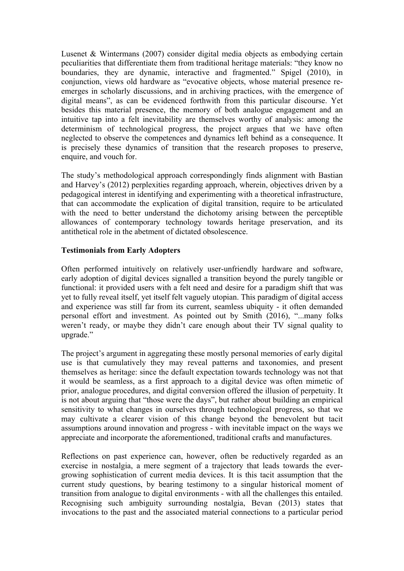Lusenet & Wintermans (2007) consider digital media objects as embodying certain peculiarities that differentiate them from traditional heritage materials: "they know no boundaries, they are dynamic, interactive and fragmented." Spigel (2010), in conjunction, views old hardware as "evocative objects, whose material presence reemerges in scholarly discussions, and in archiving practices, with the emergence of digital means", as can be evidenced forthwith from this particular discourse. Yet besides this material presence, the memory of both analogue engagement and an intuitive tap into a felt inevitability are themselves worthy of analysis: among the determinism of technological progress, the project argues that we have often neglected to observe the competences and dynamics left behind as a consequence. It is precisely these dynamics of transition that the research proposes to preserve, enquire, and vouch for.

The study's methodological approach correspondingly finds alignment with Bastian and Harvey's (2012) perplexities regarding approach, wherein, objectives driven by a pedagogical interest in identifying and experimenting with a theoretical infrastructure, that can accommodate the explication of digital transition, require to be articulated with the need to better understand the dichotomy arising between the perceptible allowances of contemporary technology towards heritage preservation, and its antithetical role in the abetment of dictated obsolescence.

## **Testimonials from Early Adopters**

Often performed intuitively on relatively user-unfriendly hardware and software, early adoption of digital devices signalled a transition beyond the purely tangible or functional: it provided users with a felt need and desire for a paradigm shift that was yet to fully reveal itself, yet itself felt vaguely utopian. This paradigm of digital access and experience was still far from its current, seamless ubiquity - it often demanded personal effort and investment. As pointed out by Smith (2016), "...many folks weren't ready, or maybe they didn't care enough about their TV signal quality to upgrade."

The project's argument in aggregating these mostly personal memories of early digital use is that cumulatively they may reveal patterns and taxonomies, and present themselves as heritage: since the default expectation towards technology was not that it would be seamless, as a first approach to a digital device was often mimetic of prior, analogue procedures, and digital conversion offered the illusion of perpetuity. It is not about arguing that "those were the days", but rather about building an empirical sensitivity to what changes in ourselves through technological progress, so that we may cultivate a clearer vision of this change beyond the benevolent but tacit assumptions around innovation and progress - with inevitable impact on the ways we appreciate and incorporate the aforementioned, traditional crafts and manufactures.

Reflections on past experience can, however, often be reductively regarded as an exercise in nostalgia, a mere segment of a trajectory that leads towards the evergrowing sophistication of current media devices. It is this tacit assumption that the current study questions, by bearing testimony to a singular historical moment of transition from analogue to digital environments - with all the challenges this entailed. Recognising such ambiguity surrounding nostalgia, Bevan (2013) states that invocations to the past and the associated material connections to a particular period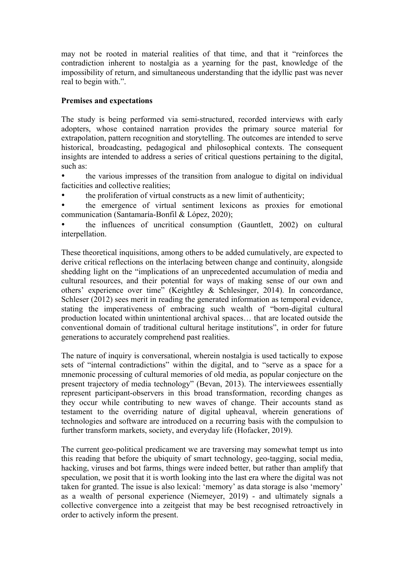may not be rooted in material realities of that time, and that it "reinforces the contradiction inherent to nostalgia as a yearning for the past, knowledge of the impossibility of return, and simultaneous understanding that the idyllic past was never real to begin with.".

# **Premises and expectations**

The study is being performed via semi-structured, recorded interviews with early adopters, whose contained narration provides the primary source material for extrapolation, pattern recognition and storytelling. The outcomes are intended to serve historical, broadcasting, pedagogical and philosophical contexts. The consequent insights are intended to address a series of critical questions pertaining to the digital, such as:

- the various impresses of the transition from analogue to digital on individual facticities and collective realities;
- the proliferation of virtual constructs as a new limit of authenticity;

• the emergence of virtual sentiment lexicons as proxies for emotional communication (Santamaría-Bonfil & López, 2020);

• the influences of uncritical consumption (Gauntlett, 2002) on cultural interpellation.

These theoretical inquisitions, among others to be added cumulatively, are expected to derive critical reflections on the interlacing between change and continuity, alongside shedding light on the "implications of an unprecedented accumulation of media and cultural resources, and their potential for ways of making sense of our own and others' experience over time" (Keightley & Schlesinger, 2014). In concordance, Schleser (2012) sees merit in reading the generated information as temporal evidence, stating the imperativeness of embracing such wealth of "born-digital cultural production located within unintentional archival spaces… that are located outside the conventional domain of traditional cultural heritage institutions", in order for future generations to accurately comprehend past realities.

The nature of inquiry is conversational, wherein nostalgia is used tactically to expose sets of "internal contradictions" within the digital, and to "serve as a space for a mnemonic processing of cultural memories of old media, as popular conjecture on the present trajectory of media technology" (Bevan, 2013). The interviewees essentially represent participant-observers in this broad transformation, recording changes as they occur while contributing to new waves of change. Their accounts stand as testament to the overriding nature of digital upheaval, wherein generations of technologies and software are introduced on a recurring basis with the compulsion to further transform markets, society, and everyday life (Hofacker, 2019).

The current geo-political predicament we are traversing may somewhat tempt us into this reading that before the ubiquity of smart technology, geo-tagging, social media, hacking, viruses and bot farms, things were indeed better, but rather than amplify that speculation, we posit that it is worth looking into the last era where the digital was not taken for granted. The issue is also lexical: 'memory' as data storage is also 'memory' as a wealth of personal experience (Niemeyer, 2019) - and ultimately signals a collective convergence into a zeitgeist that may be best recognised retroactively in order to actively inform the present.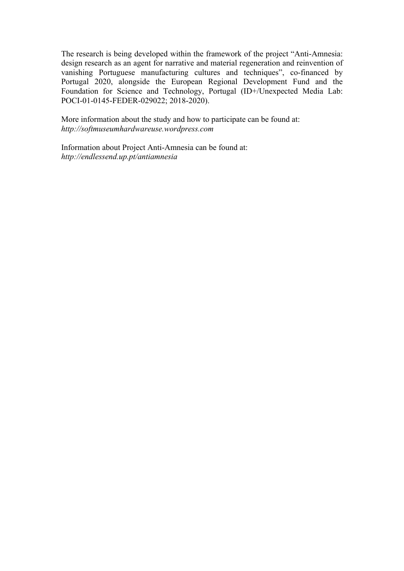The research is being developed within the framework of the project "Anti-Amnesia: design research as an agent for narrative and material regeneration and reinvention of vanishing Portuguese manufacturing cultures and techniques", co-financed by Portugal 2020, alongside the European Regional Development Fund and the Foundation for Science and Technology, Portugal (ID+/Unexpected Media Lab: POCI-01-0145-FEDER-029022; 2018-2020).

More information about the study and how to participate can be found at: *http://softmuseumhardwareuse.wordpress.com*

Information about Project Anti-Amnesia can be found at: *http://endlessend.up.pt/antiamnesia*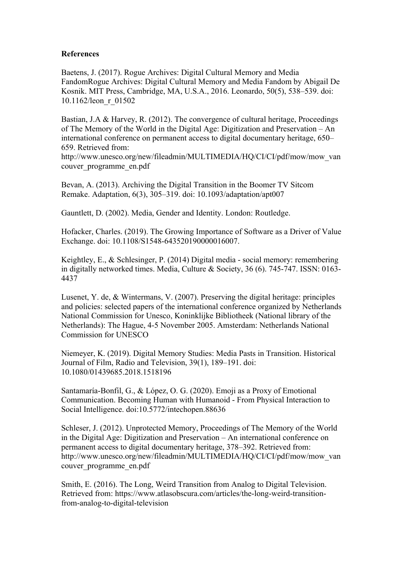#### **References**

Baetens, J. (2017). Rogue Archives: Digital Cultural Memory and Media FandomRogue Archives: Digital Cultural Memory and Media Fandom by Abigail De Kosnik. MIT Press, Cambridge, MA, U.S.A., 2016. Leonardo, 50(5), 538–539. doi: 10.1162/leon\_r\_01502

Bastian, J.A & Harvey, R. (2012). The convergence of cultural heritage, Proceedings of The Memory of the World in the Digital Age: Digitization and Preservation – An international conference on permanent access to digital documentary heritage, 650– 659. Retrieved from:

http://www.unesco.org/new/fileadmin/MULTIMEDIA/HQ/CI/CI/pdf/mow/mow\_van couver\_programme\_en.pdf

Bevan, A. (2013). Archiving the Digital Transition in the Boomer TV Sitcom Remake. Adaptation, 6(3), 305–319. doi: 10.1093/adaptation/apt007

Gauntlett, D. (2002). Media, Gender and Identity. London: Routledge.

Hofacker, Charles. (2019). The Growing Importance of Software as a Driver of Value Exchange. doi: 10.1108/S1548-643520190000016007.

Keightley, E., & Schlesinger, P. (2014) Digital media - social memory: remembering in digitally networked times. Media, Culture & Society, 36 (6). 745-747. ISSN: 0163- 4437

Lusenet, Y. de, & Wintermans, V. (2007). Preserving the digital heritage: principles and policies: selected papers of the international conference organized by Netherlands National Commission for Unesco, Koninklijke Bibliotheek (National library of the Netherlands): The Hague, 4-5 November 2005. Amsterdam: Netherlands National Commission for UNESCO

Niemeyer, K. (2019). Digital Memory Studies: Media Pasts in Transition. Historical Journal of Film, Radio and Television, 39(1), 189–191. doi: 10.1080/01439685.2018.1518196

Santamaría-Bonfil, G., & López, O. G. (2020). Emoji as a Proxy of Emotional Communication. Becoming Human with Humanoid - From Physical Interaction to Social Intelligence. doi:10.5772/intechopen.88636

Schleser, J. (2012). Unprotected Memory, Proceedings of The Memory of the World in the Digital Age: Digitization and Preservation – An international conference on permanent access to digital documentary heritage, 378–392. Retrieved from: http://www.unesco.org/new/fileadmin/MULTIMEDIA/HQ/CI/CI/pdf/mow/mow\_van couver\_programme\_en.pdf

Smith, E. (2016). The Long, Weird Transition from Analog to Digital Television. Retrieved from: https://www.atlasobscura.com/articles/the-long-weird-transitionfrom-analog-to-digital-television